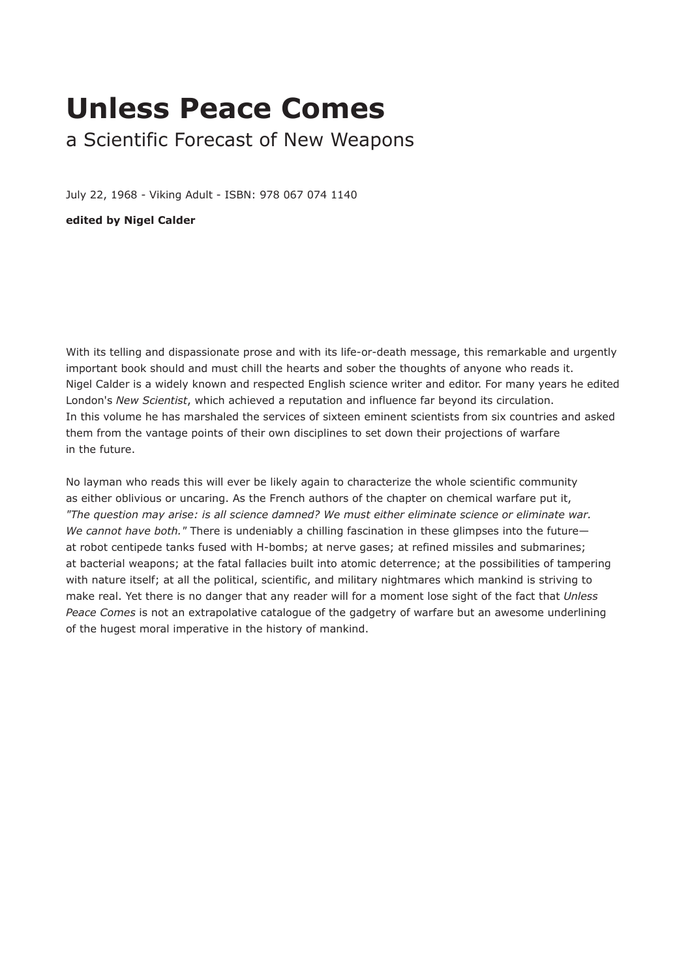# **Unless Peace Comes** a Scientific Forecast of New Weapons

July 22, 1968 - Viking Adult - ISBN: 978 067 074 1140

**edited by Nigel Calder**

With its telling and dispassionate prose and with its life-or-death message, this remarkable and urgently important book should and must chill the hearts and sober the thoughts of anyone who reads it. Nigel Calder is a widely known and respected English science writer and editor. For many years he edited London's *New Scientist*, which achieved a reputation and influence far beyond its circulation. In this volume he has marshaled the services of sixteen eminent scientists from six countries and asked them from the vantage points of their own disciplines to set down their projections of warfare in the future.

No layman who reads this will ever be likely again to characterize the whole scientific community as either oblivious or uncaring. As the French authors of the chapter on chemical warfare put it, *"The question may arise: is all science damned? We must either eliminate science or eliminate war. We cannot have both."* There is undeniably a chilling fascination in these glimpses into the future at robot centipede tanks fused with H-bombs; at nerve gases; at refined missiles and submarines; at bacterial weapons; at the fatal fallacies built into atomic deterrence; at the possibilities of tampering with nature itself; at all the political, scientific, and military nightmares which mankind is striving to make real. Yet there is no danger that any reader will for a moment lose sight of the fact that *Unless Peace Comes* is not an extrapolative catalogue of the gadgetry of warfare but an awesome underlining of the hugest moral imperative in the history of mankind.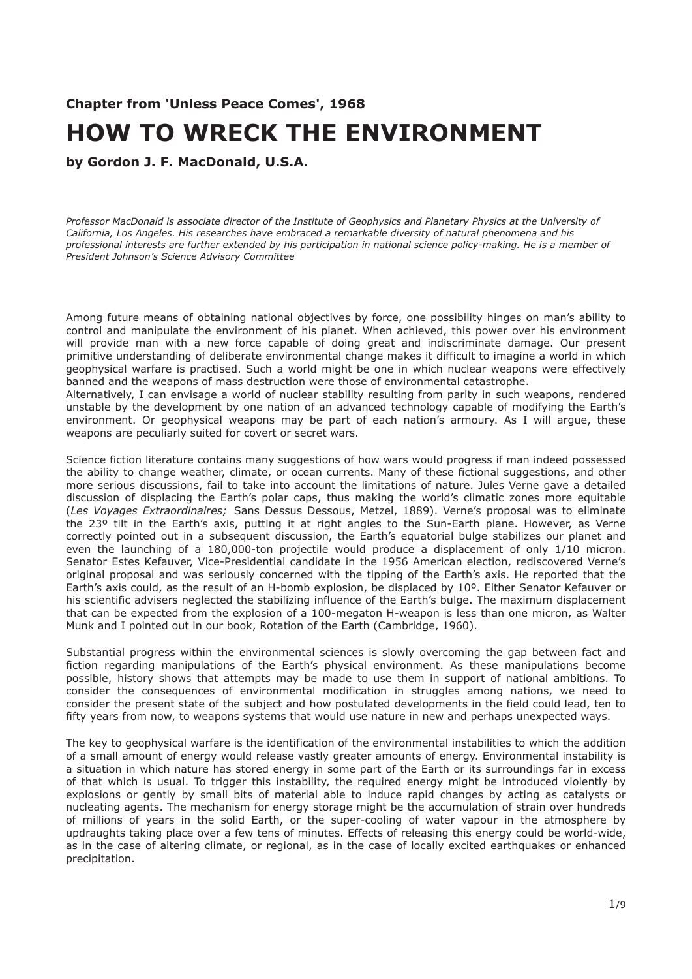# **Chapter from 'Unless Peace Comes', 1968 HOW TO WRECK THE ENVIRONMENT**

**by Gordon J. F. MacDonald, U.S.A.**

*Professor MacDonald is associate director of the Institute of Geophysics and Planetary Physics at the University of California, Los Angeles. His researches have embraced a remarkable diversity of natural phenomena and his professional interests are further extended by his participation in national science policy-making. He is a member of President Johnson's Science Advisory Committee*

Among future means of obtaining national objectives by force, one possibility hinges on man's ability to control and manipulate the environment of his planet. When achieved, this power over his environment will provide man with a new force capable of doing great and indiscriminate damage. Our present primitive understanding of deliberate environmental change makes it difficult to imagine a world in which geophysical warfare is practised. Such a world might be one in which nuclear weapons were effectively banned and the weapons of mass destruction were those of environmental catastrophe.

Alternatively, I can envisage a world of nuclear stability resulting from parity in such weapons, rendered unstable by the development by one nation of an advanced technology capable of modifying the Earth's environment. Or geophysical weapons may be part of each nation's armoury. As I will argue, these weapons are peculiarly suited for covert or secret wars.

Science fiction literature contains many suggestions of how wars would progress if man indeed possessed the ability to change weather, climate, or ocean currents. Many of these fictional suggestions, and other more serious discussions, fail to take into account the limitations of nature. Jules Verne gave a detailed discussion of displacing the Earth's polar caps, thus making the world's climatic zones more equitable (*Les Voyages Extraordinaires;* Sans Dessus Dessous, Metzel, 1889). Verne's proposal was to eliminate the 23º tilt in the Earth's axis, putting it at right angles to the Sun-Earth plane. However, as Verne correctly pointed out in a subsequent discussion, the Earth's equatorial bulge stabilizes our planet and even the launching of a 180,000-ton projectile would produce a displacement of only 1/10 micron. Senator Estes Kefauver, Vice-Presidential candidate in the 1956 American election, rediscovered Verne's original proposal and was seriously concerned with the tipping of the Earth's axis. He reported that the Earth's axis could, as the result of an H-bomb explosion, be displaced by 10º. Either Senator Kefauver or his scientific advisers neglected the stabilizing influence of the Earth's bulge. The maximum displacement that can be expected from the explosion of a 100-megaton H-weapon is less than one micron, as Walter Munk and I pointed out in our book, Rotation of the Earth (Cambridge, 1960).

Substantial progress within the environmental sciences is slowly overcoming the gap between fact and fiction regarding manipulations of the Earth's physical environment. As these manipulations become possible, history shows that attempts may be made to use them in support of national ambitions. To consider the consequences of environmental modification in struggles among nations, we need to consider the present state of the subject and how postulated developments in the field could lead, ten to fifty years from now, to weapons systems that would use nature in new and perhaps unexpected ways.

The key to geophysical warfare is the identification of the environmental instabilities to which the addition of a small amount of energy would release vastly greater amounts of energy. Environmental instability is a situation in which nature has stored energy in some part of the Earth or its surroundings far in excess of that which is usual. To trigger this instability, the required energy might be introduced violently by explosions or gently by small bits of material able to induce rapid changes by acting as catalysts or nucleating agents. The mechanism for energy storage might be the accumulation of strain over hundreds of millions of years in the solid Earth, or the super-cooling of water vapour in the atmosphere by updraughts taking place over a few tens of minutes. Effects of releasing this energy could be world-wide, as in the case of altering climate, or regional, as in the case of locally excited earthquakes or enhanced precipitation.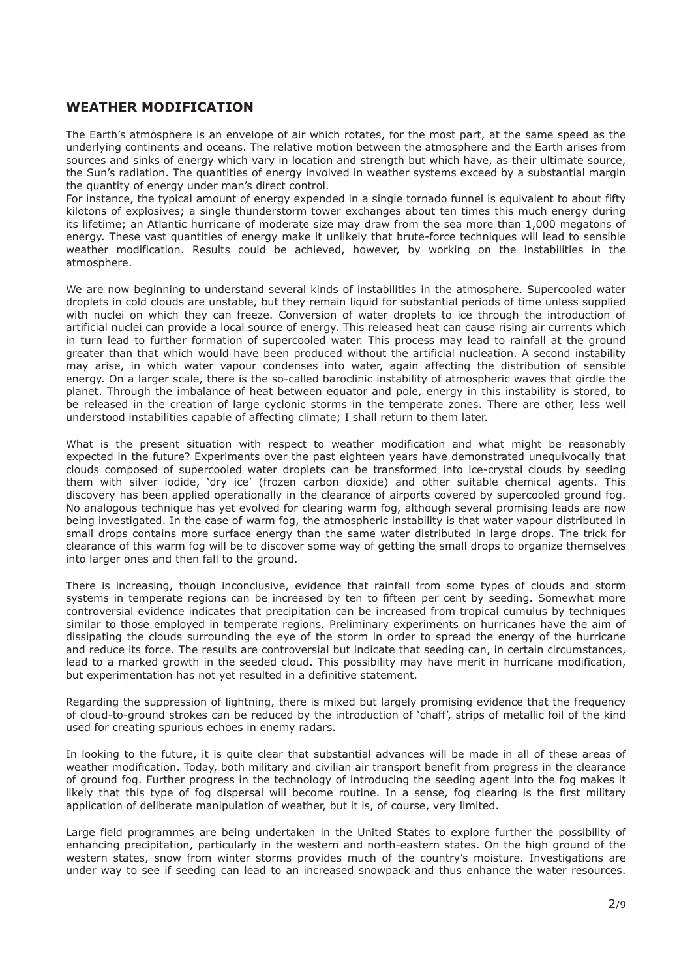## **WEATHER MODIFICATION**

The Earth's atmosphere is an envelope of air which rotates, for the most part, at the same speed as the underlying continents and oceans. The relative motion between the atmosphere and the Earth arises from sources and sinks of energy which vary in location and strength but which have, as their ultimate source, the Sun's radiation. The quantities of energy involved in weather systems exceed by a substantial margin the quantity of energy under man's direct control.

For instance, the typical amount of energy expended in a single tornado funnel is equivalent to about fifty kilotons of explosives; a single thunderstorm tower exchanges about ten times this much energy during its lifetime; an Atlantic hurricane of moderate size may draw from the sea more than 1,000 megatons of energy. These vast quantities of energy make it unlikely that brute-force techniques will lead to sensible weather modification. Results could be achieved, however, by working on the instabilities in the atmosphere.

We are now beginning to understand several kinds of instabilities in the atmosphere. Supercooled water droplets in cold clouds are unstable, but they remain liquid for substantial periods of time unless supplied with nuclei on which they can freeze. Conversion of water droplets to ice through the introduction of artificial nuclei can provide a local source of energy. This released heat can cause rising air currents which in turn lead to further formation of supercooled water. This process may lead to rainfall at the ground greater than that which would have been produced without the artificial nucleation. A second instability may arise, in which water vapour condenses into water, again affecting the distribution of sensible energy. On a larger scale, there is the so-called baroclinic instability of atmospheric waves that girdle the planet. Through the imbalance of heat between equator and pole, energy in this instability is stored, to be released in the creation of large cyclonic storms in the temperate zones. There are other, less well understood instabilities capable of affecting climate; I shall return to them later.

What is the present situation with respect to weather modification and what might be reasonably expected in the future? Experiments over the past eighteen years have demonstrated unequivocally that clouds composed of supercooled water droplets can be transformed into ice-crystal clouds by seeding them with silver iodide, 'dry ice' (frozen carbon dioxide) and other suitable chemical agents. This discovery has been applied operationally in the clearance of airports covered by supercooled ground fog. No analogous technique has yet evolved for clearing warm fog, although several promising leads are now being investigated. In the case of warm fog, the atmospheric instability is that water vapour distributed in small drops contains more surface energy than the same water distributed in large drops. The trick for clearance of this warm fog will be to discover some way of getting the small drops to organize themselves into larger ones and then fall to the ground.

There is increasing, though inconclusive, evidence that rainfall from some types of clouds and storm systems in temperate regions can be increased by ten to fifteen per cent by seeding. Somewhat more controversial evidence indicates that precipitation can be increased from tropical cumulus by techniques similar to those employed in temperate regions. Preliminary experiments on hurricanes have the aim of dissipating the clouds surrounding the eye of the storm in order to spread the energy of the hurricane and reduce its force. The results are controversial but indicate that seeding can, in certain circumstances, lead to a marked growth in the seeded cloud. This possibility may have merit in hurricane modification, but experimentation has not yet resulted in a definitive statement.

Regarding the suppression of lightning, there is mixed but largely promising evidence that the frequency of cloud-to-ground strokes can be reduced by the introduction of 'chaff', strips of metallic foil of the kind used for creating spurious echoes in enemy radars.

In looking to the future, it is quite clear that substantial advances will be made in all of these areas of weather modification. Today, both military and civilian air transport benefit from progress in the clearance of ground fog. Further progress in the technology of introducing the seeding agent into the fog makes it likely that this type of fog dispersal will become routine. In a sense, fog clearing is the first military application of deliberate manipulation of weather, but it is, of course, very limited.

Large field programmes are being undertaken in the United States to explore further the possibility of enhancing precipitation, particularly in the western and north-eastern states. On the high ground of the western states, snow from winter storms provides much of the country's moisture. Investigations are under way to see if seeding can lead to an increased snowpack and thus enhance the water resources.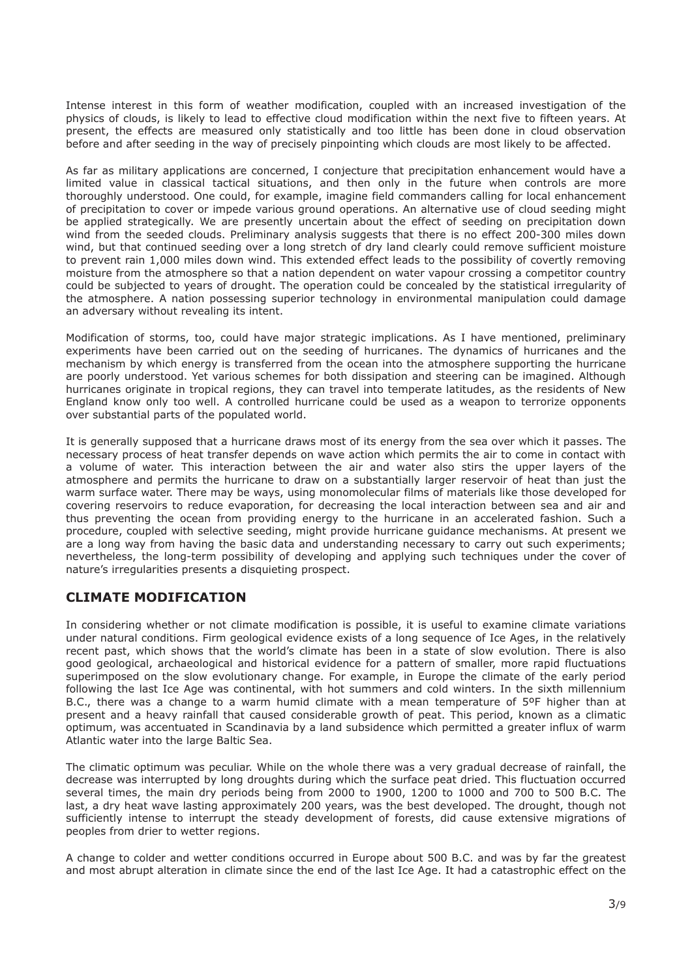Intense interest in this form of weather modification, coupled with an increased investigation of the physics of clouds, is likely to lead to effective cloud modification within the next five to fifteen years. At present, the effects are measured only statistically and too little has been done in cloud observation before and after seeding in the way of precisely pinpointing which clouds are most likely to be affected.

As far as military applications are concerned, I conjecture that precipitation enhancement would have a limited value in classical tactical situations, and then only in the future when controls are more thoroughly understood. One could, for example, imagine field commanders calling for local enhancement of precipitation to cover or impede various ground operations. An alternative use of cloud seeding might be applied strategically. We are presently uncertain about the effect of seeding on precipitation down wind from the seeded clouds. Preliminary analysis suggests that there is no effect 200-300 miles down wind, but that continued seeding over a long stretch of dry land clearly could remove sufficient moisture to prevent rain 1,000 miles down wind. This extended effect leads to the possibility of covertly removing moisture from the atmosphere so that a nation dependent on water vapour crossing a competitor country could be subjected to years of drought. The operation could be concealed by the statistical irregularity of the atmosphere. A nation possessing superior technology in environmental manipulation could damage an adversary without revealing its intent.

Modification of storms, too, could have major strategic implications. As I have mentioned, preliminary experiments have been carried out on the seeding of hurricanes. The dynamics of hurricanes and the mechanism by which energy is transferred from the ocean into the atmosphere supporting the hurricane are poorly understood. Yet various schemes for both dissipation and steering can be imagined. Although hurricanes originate in tropical regions, they can travel into temperate latitudes, as the residents of New England know only too well. A controlled hurricane could be used as a weapon to terrorize opponents over substantial parts of the populated world.

It is generally supposed that a hurricane draws most of its energy from the sea over which it passes. The necessary process of heat transfer depends on wave action which permits the air to come in contact with a volume of water. This interaction between the air and water also stirs the upper layers of the atmosphere and permits the hurricane to draw on a substantially larger reservoir of heat than just the warm surface water. There may be ways, using monomolecular films of materials like those developed for covering reservoirs to reduce evaporation, for decreasing the local interaction between sea and air and thus preventing the ocean from providing energy to the hurricane in an accelerated fashion. Such a procedure, coupled with selective seeding, might provide hurricane guidance mechanisms. At present we are a long way from having the basic data and understanding necessary to carry out such experiments; nevertheless, the long-term possibility of developing and applying such techniques under the cover of nature's irregularities presents a disquieting prospect.

# **CLIMATE MODIFICATION**

In considering whether or not climate modification is possible, it is useful to examine climate variations under natural conditions. Firm geological evidence exists of a long sequence of Ice Ages, in the relatively recent past, which shows that the world's climate has been in a state of slow evolution. There is also good geological, archaeological and historical evidence for a pattern of smaller, more rapid fluctuations superimposed on the slow evolutionary change. For example, in Europe the climate of the early period following the last Ice Age was continental, with hot summers and cold winters. In the sixth millennium B.C., there was a change to a warm humid climate with a mean temperature of 5ºF higher than at present and a heavy rainfall that caused considerable growth of peat. This period, known as a climatic optimum, was accentuated in Scandinavia by a land subsidence which permitted a greater influx of warm Atlantic water into the large Baltic Sea.

The climatic optimum was peculiar. While on the whole there was a very gradual decrease of rainfall, the decrease was interrupted by long droughts during which the surface peat dried. This fluctuation occurred several times, the main dry periods being from 2000 to 1900, 1200 to 1000 and 700 to 500 B.C. The last, a dry heat wave lasting approximately 200 years, was the best developed. The drought, though not sufficiently intense to interrupt the steady development of forests, did cause extensive migrations of peoples from drier to wetter regions.

A change to colder and wetter conditions occurred in Europe about 500 B.C. and was by far the greatest and most abrupt alteration in climate since the end of the last Ice Age. It had a catastrophic effect on the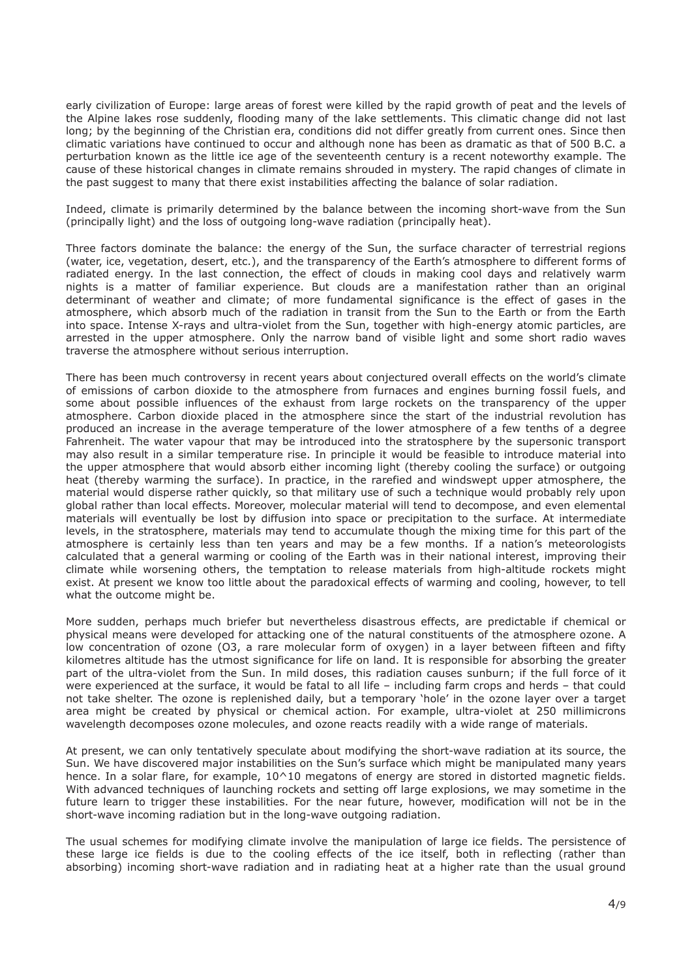early civilization of Europe: large areas of forest were killed by the rapid growth of peat and the levels of the Alpine lakes rose suddenly, flooding many of the lake settlements. This climatic change did not last long; by the beginning of the Christian era, conditions did not differ greatly from current ones. Since then climatic variations have continued to occur and although none has been as dramatic as that of 500 B.C. a perturbation known as the little ice age of the seventeenth century is a recent noteworthy example. The cause of these historical changes in climate remains shrouded in mystery. The rapid changes of climate in the past suggest to many that there exist instabilities affecting the balance of solar radiation.

Indeed, climate is primarily determined by the balance between the incoming short-wave from the Sun (principally light) and the loss of outgoing long-wave radiation (principally heat).

Three factors dominate the balance: the energy of the Sun, the surface character of terrestrial regions (water, ice, vegetation, desert, etc.), and the transparency of the Earth's atmosphere to different forms of radiated energy. In the last connection, the effect of clouds in making cool days and relatively warm nights is a matter of familiar experience. But clouds are a manifestation rather than an original determinant of weather and climate; of more fundamental significance is the effect of gases in the atmosphere, which absorb much of the radiation in transit from the Sun to the Earth or from the Earth into space. Intense X-rays and ultra-violet from the Sun, together with high-energy atomic particles, are arrested in the upper atmosphere. Only the narrow band of visible light and some short radio waves traverse the atmosphere without serious interruption.

There has been much controversy in recent years about conjectured overall effects on the world's climate of emissions of carbon dioxide to the atmosphere from furnaces and engines burning fossil fuels, and some about possible influences of the exhaust from large rockets on the transparency of the upper atmosphere. Carbon dioxide placed in the atmosphere since the start of the industrial revolution has produced an increase in the average temperature of the lower atmosphere of a few tenths of a degree Fahrenheit. The water vapour that may be introduced into the stratosphere by the supersonic transport may also result in a similar temperature rise. In principle it would be feasible to introduce material into the upper atmosphere that would absorb either incoming light (thereby cooling the surface) or outgoing heat (thereby warming the surface). In practice, in the rarefied and windswept upper atmosphere, the material would disperse rather quickly, so that military use of such a technique would probably rely upon global rather than local effects. Moreover, molecular material will tend to decompose, and even elemental materials will eventually be lost by diffusion into space or precipitation to the surface. At intermediate levels, in the stratosphere, materials may tend to accumulate though the mixing time for this part of the atmosphere is certainly less than ten years and may be a few months. If a nation's meteorologists calculated that a general warming or cooling of the Earth was in their national interest, improving their climate while worsening others, the temptation to release materials from high-altitude rockets might exist. At present we know too little about the paradoxical effects of warming and cooling, however, to tell what the outcome might be.

More sudden, perhaps much briefer but nevertheless disastrous effects, are predictable if chemical or physical means were developed for attacking one of the natural constituents of the atmosphere ozone. A low concentration of ozone (O3, a rare molecular form of oxygen) in a layer between fifteen and fifty kilometres altitude has the utmost significance for life on land. It is responsible for absorbing the greater part of the ultra-violet from the Sun. In mild doses, this radiation causes sunburn; if the full force of it were experienced at the surface, it would be fatal to all life – including farm crops and herds – that could not take shelter. The ozone is replenished daily, but a temporary 'hole' in the ozone layer over a target area might be created by physical or chemical action. For example, ultra-violet at 250 millimicrons wavelength decomposes ozone molecules, and ozone reacts readily with a wide range of materials.

At present, we can only tentatively speculate about modifying the short-wave radiation at its source, the Sun. We have discovered major instabilities on the Sun's surface which might be manipulated many years hence. In a solar flare, for example, 10^10 megatons of energy are stored in distorted magnetic fields. With advanced techniques of launching rockets and setting off large explosions, we may sometime in the future learn to trigger these instabilities. For the near future, however, modification will not be in the short-wave incoming radiation but in the long-wave outgoing radiation.

The usual schemes for modifying climate involve the manipulation of large ice fields. The persistence of these large ice fields is due to the cooling effects of the ice itself, both in reflecting (rather than absorbing) incoming short-wave radiation and in radiating heat at a higher rate than the usual ground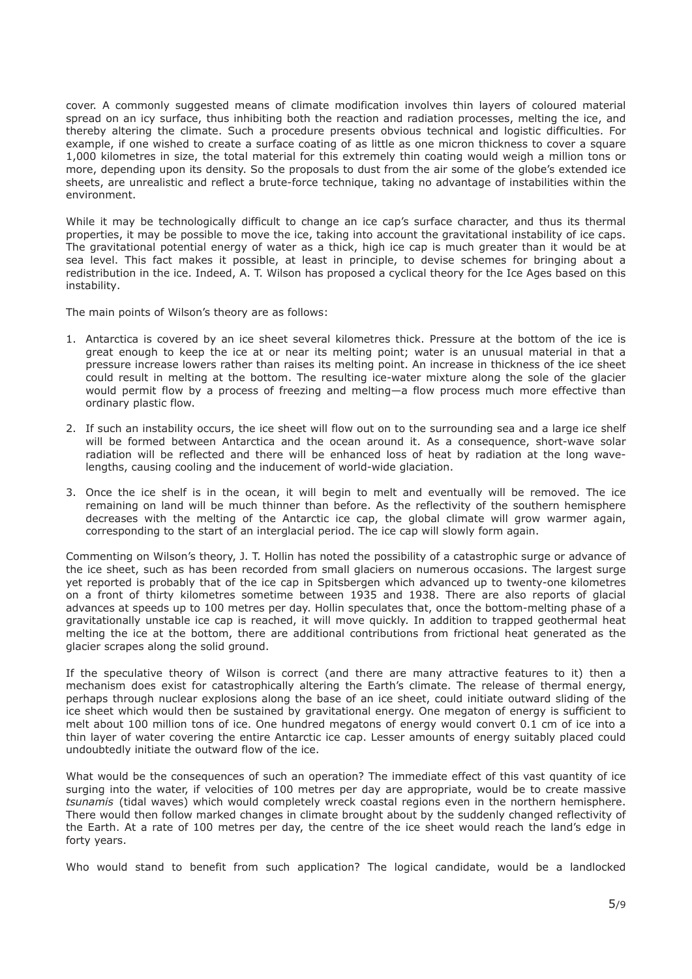cover. A commonly suggested means of climate modification involves thin layers of coloured material spread on an icy surface, thus inhibiting both the reaction and radiation processes, melting the ice, and thereby altering the climate. Such a procedure presents obvious technical and logistic difficulties. For example, if one wished to create a surface coating of as little as one micron thickness to cover a square 1,000 kilometres in size, the total material for this extremely thin coating would weigh a million tons or more, depending upon its density. So the proposals to dust from the air some of the globe's extended ice sheets, are unrealistic and reflect a brute-force technique, taking no advantage of instabilities within the environment.

While it may be technologically difficult to change an ice cap's surface character, and thus its thermal properties, it may be possible to move the ice, taking into account the gravitational instability of ice caps. The gravitational potential energy of water as a thick, high ice cap is much greater than it would be at sea level. This fact makes it possible, at least in principle, to devise schemes for bringing about a redistribution in the ice. Indeed, A. T. Wilson has proposed a cyclical theory for the Ice Ages based on this instability.

The main points of Wilson's theory are as follows:

- 1. Antarctica is covered by an ice sheet several kilometres thick. Pressure at the bottom of the ice is great enough to keep the ice at or near its melting point; water is an unusual material in that a pressure increase lowers rather than raises its melting point. An increase in thickness of the ice sheet could result in melting at the bottom. The resulting ice-water mixture along the sole of the glacier would permit flow by a process of freezing and melting—a flow process much more effective than ordinary plastic flow.
- 2. If such an instability occurs, the ice sheet will flow out on to the surrounding sea and a large ice shelf will be formed between Antarctica and the ocean around it. As a consequence, short-wave solar radiation will be reflected and there will be enhanced loss of heat by radiation at the long wavelengths, causing cooling and the inducement of world-wide glaciation.
- 3. Once the ice shelf is in the ocean, it will begin to melt and eventually will be removed. The ice remaining on land will be much thinner than before. As the reflectivity of the southern hemisphere decreases with the melting of the Antarctic ice cap, the global climate will grow warmer again, corresponding to the start of an interglacial period. The ice cap will slowly form again.

Commenting on Wilson's theory, J. T. Hollin has noted the possibility of a catastrophic surge or advance of the ice sheet, such as has been recorded from small glaciers on numerous occasions. The largest surge yet reported is probably that of the ice cap in Spitsbergen which advanced up to twenty-one kilometres on a front of thirty kilometres sometime between 1935 and 1938. There are also reports of glacial advances at speeds up to 100 metres per day. Hollin speculates that, once the bottom-melting phase of a gravitationally unstable ice cap is reached, it will move quickly. In addition to trapped geothermal heat melting the ice at the bottom, there are additional contributions from frictional heat generated as the glacier scrapes along the solid ground.

If the speculative theory of Wilson is correct (and there are many attractive features to it) then a mechanism does exist for catastrophically altering the Earth's climate. The release of thermal energy, perhaps through nuclear explosions along the base of an ice sheet, could initiate outward sliding of the ice sheet which would then be sustained by gravitational energy. One megaton of energy is sufficient to melt about 100 million tons of ice. One hundred megatons of energy would convert 0.1 cm of ice into a thin layer of water covering the entire Antarctic ice cap. Lesser amounts of energy suitably placed could undoubtedly initiate the outward flow of the ice.

What would be the consequences of such an operation? The immediate effect of this vast quantity of ice surging into the water, if velocities of 100 metres per day are appropriate, would be to create massive *tsunamis* (tidal waves) which would completely wreck coastal regions even in the northern hemisphere. There would then follow marked changes in climate brought about by the suddenly changed reflectivity of the Earth. At a rate of 100 metres per day, the centre of the ice sheet would reach the land's edge in forty years.

Who would stand to benefit from such application? The logical candidate, would be a landlocked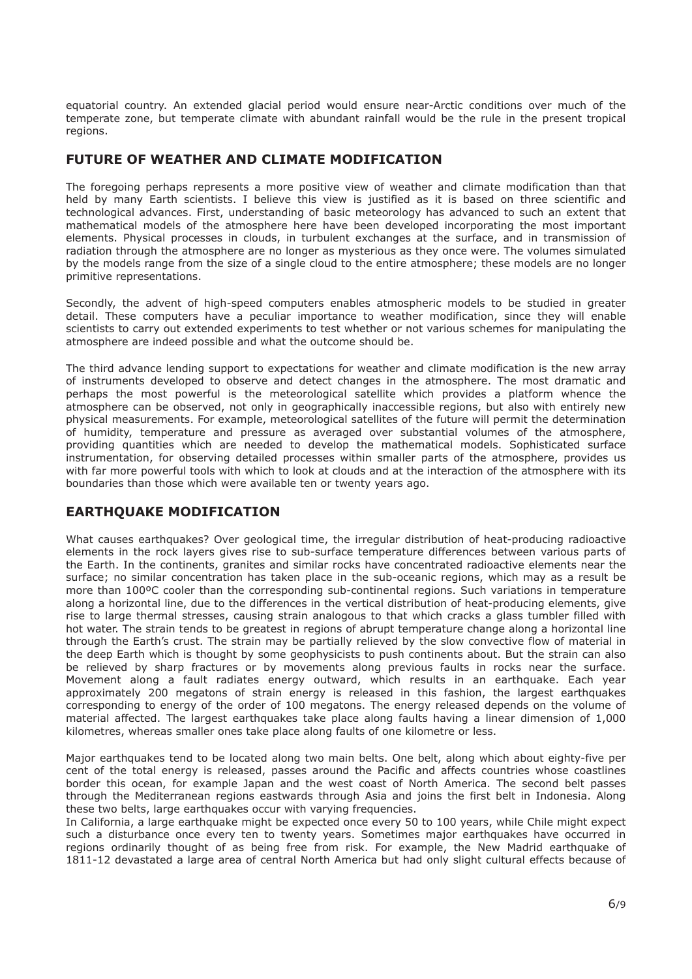equatorial country. An extended glacial period would ensure near-Arctic conditions over much of the temperate zone, but temperate climate with abundant rainfall would be the rule in the present tropical regions.

#### **FUTURE OF WEATHER AND CLIMATE MODIFICATION**

The foregoing perhaps represents a more positive view of weather and climate modification than that held by many Farth scientists. I believe this view is justified as it is based on three scientific and technological advances. First, understanding of basic meteorology has advanced to such an extent that mathematical models of the atmosphere here have been developed incorporating the most important elements. Physical processes in clouds, in turbulent exchanges at the surface, and in transmission of radiation through the atmosphere are no longer as mysterious as they once were. The volumes simulated by the models range from the size of a single cloud to the entire atmosphere; these models are no longer primitive representations.

Secondly, the advent of high-speed computers enables atmospheric models to be studied in greater detail. These computers have a peculiar importance to weather modification, since they will enable scientists to carry out extended experiments to test whether or not various schemes for manipulating the atmosphere are indeed possible and what the outcome should be.

The third advance lending support to expectations for weather and climate modification is the new array of instruments developed to observe and detect changes in the atmosphere. The most dramatic and perhaps the most powerful is the meteorological satellite which provides a platform whence the atmosphere can be observed, not only in geographically inaccessible regions, but also with entirely new physical measurements. For example, meteorological satellites of the future will permit the determination of humidity, temperature and pressure as averaged over substantial volumes of the atmosphere, providing quantities which are needed to develop the mathematical models. Sophisticated surface instrumentation, for observing detailed processes within smaller parts of the atmosphere, provides us with far more powerful tools with which to look at clouds and at the interaction of the atmosphere with its boundaries than those which were available ten or twenty years ago.

# **EARTHQUAKE MODIFICATION**

What causes earthquakes? Over geological time, the irregular distribution of heat-producing radioactive elements in the rock layers gives rise to sub-surface temperature differences between various parts of the Earth. In the continents, granites and similar rocks have concentrated radioactive elements near the surface; no similar concentration has taken place in the sub-oceanic regions, which may as a result be more than 100ºC cooler than the corresponding sub-continental regions. Such variations in temperature along a horizontal line, due to the differences in the vertical distribution of heat-producing elements, give rise to large thermal stresses, causing strain analogous to that which cracks a glass tumbler filled with hot water. The strain tends to be greatest in regions of abrupt temperature change along a horizontal line through the Earth's crust. The strain may be partially relieved by the slow convective flow of material in the deep Earth which is thought by some geophysicists to push continents about. But the strain can also be relieved by sharp fractures or by movements along previous faults in rocks near the surface. Movement along a fault radiates energy outward, which results in an earthquake. Each year approximately 200 megatons of strain energy is released in this fashion, the largest earthquakes corresponding to energy of the order of 100 megatons. The energy released depends on the volume of material affected. The largest earthquakes take place along faults having a linear dimension of 1,000 kilometres, whereas smaller ones take place along faults of one kilometre or less.

Major earthquakes tend to be located along two main belts. One belt, along which about eighty-five per cent of the total energy is released, passes around the Pacific and affects countries whose coastlines border this ocean, for example Japan and the west coast of North America. The second belt passes through the Mediterranean regions eastwards through Asia and joins the first belt in Indonesia. Along these two belts, large earthquakes occur with varying frequencies.

In California, a large earthquake might be expected once every 50 to 100 years, while Chile might expect such a disturbance once every ten to twenty years. Sometimes major earthquakes have occurred in regions ordinarily thought of as being free from risk. For example, the New Madrid earthquake of 1811-12 devastated a large area of central North America but had only slight cultural effects because of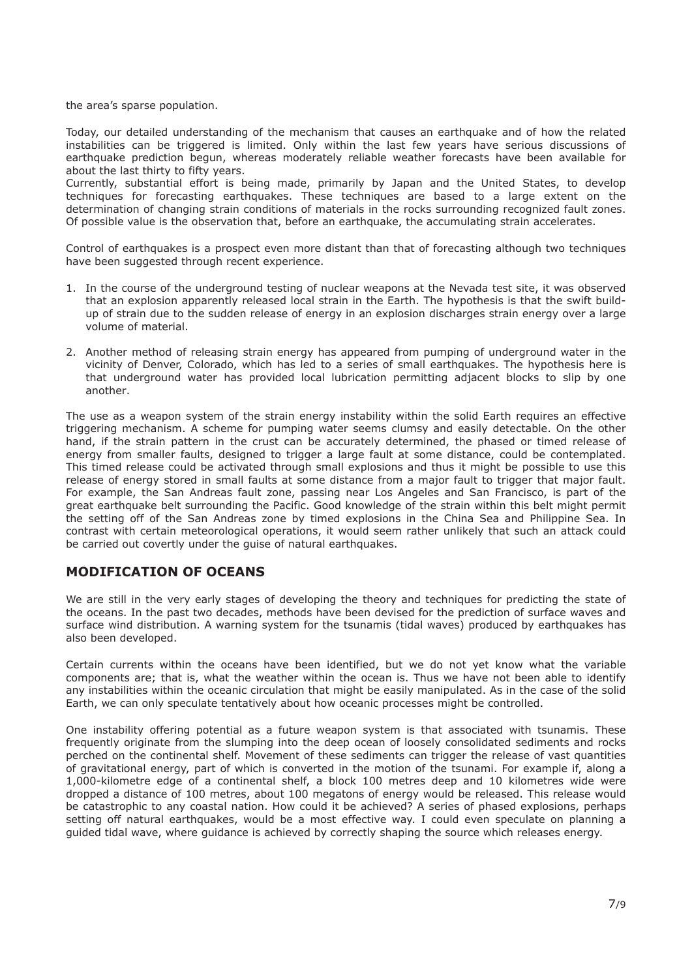the area's sparse population.

Today, our detailed understanding of the mechanism that causes an earthquake and of how the related instabilities can be triggered is limited. Only within the last few years have serious discussions of earthquake prediction begun, whereas moderately reliable weather forecasts have been available for about the last thirty to fifty years.

Currently, substantial effort is being made, primarily by Japan and the United States, to develop techniques for forecasting earthquakes. These techniques are based to a large extent on the determination of changing strain conditions of materials in the rocks surrounding recognized fault zones. Of possible value is the observation that, before an earthquake, the accumulating strain accelerates.

Control of earthquakes is a prospect even more distant than that of forecasting although two techniques have been suggested through recent experience.

- 1. In the course of the underground testing of nuclear weapons at the Nevada test site, it was observed that an explosion apparently released local strain in the Earth. The hypothesis is that the swift buildup of strain due to the sudden release of energy in an explosion discharges strain energy over a large volume of material.
- 2. Another method of releasing strain energy has appeared from pumping of underground water in the vicinity of Denver, Colorado, which has led to a series of small earthquakes. The hypothesis here is that underground water has provided local lubrication permitting adjacent blocks to slip by one another.

The use as a weapon system of the strain energy instability within the solid Earth requires an effective triggering mechanism. A scheme for pumping water seems clumsy and easily detectable. On the other hand, if the strain pattern in the crust can be accurately determined, the phased or timed release of energy from smaller faults, designed to trigger a large fault at some distance, could be contemplated. This timed release could be activated through small explosions and thus it might be possible to use this release of energy stored in small faults at some distance from a major fault to trigger that major fault. For example, the San Andreas fault zone, passing near Los Angeles and San Francisco, is part of the great earthquake belt surrounding the Pacific. Good knowledge of the strain within this belt might permit the setting off of the San Andreas zone by timed explosions in the China Sea and Philippine Sea. In contrast with certain meteorological operations, it would seem rather unlikely that such an attack could be carried out covertly under the quise of natural earthquakes.

# **MODIFICATION OF OCEANS**

We are still in the very early stages of developing the theory and techniques for predicting the state of the oceans. In the past two decades, methods have been devised for the prediction of surface waves and surface wind distribution. A warning system for the tsunamis (tidal waves) produced by earthquakes has also been developed.

Certain currents within the oceans have been identified, but we do not yet know what the variable components are; that is, what the weather within the ocean is. Thus we have not been able to identify any instabilities within the oceanic circulation that might be easily manipulated. As in the case of the solid Earth, we can only speculate tentatively about how oceanic processes might be controlled.

One instability offering potential as a future weapon system is that associated with tsunamis. These frequently originate from the slumping into the deep ocean of loosely consolidated sediments and rocks perched on the continental shelf. Movement of these sediments can trigger the release of vast quantities of gravitational energy, part of which is converted in the motion of the tsunami. For example if, along a 1,000-kilometre edge of a continental shelf, a block 100 metres deep and 10 kilometres wide were dropped a distance of 100 metres, about 100 megatons of energy would be released. This release would be catastrophic to any coastal nation. How could it be achieved? A series of phased explosions, perhaps setting off natural earthquakes, would be a most effective way. I could even speculate on planning a guided tidal wave, where guidance is achieved by correctly shaping the source which releases energy.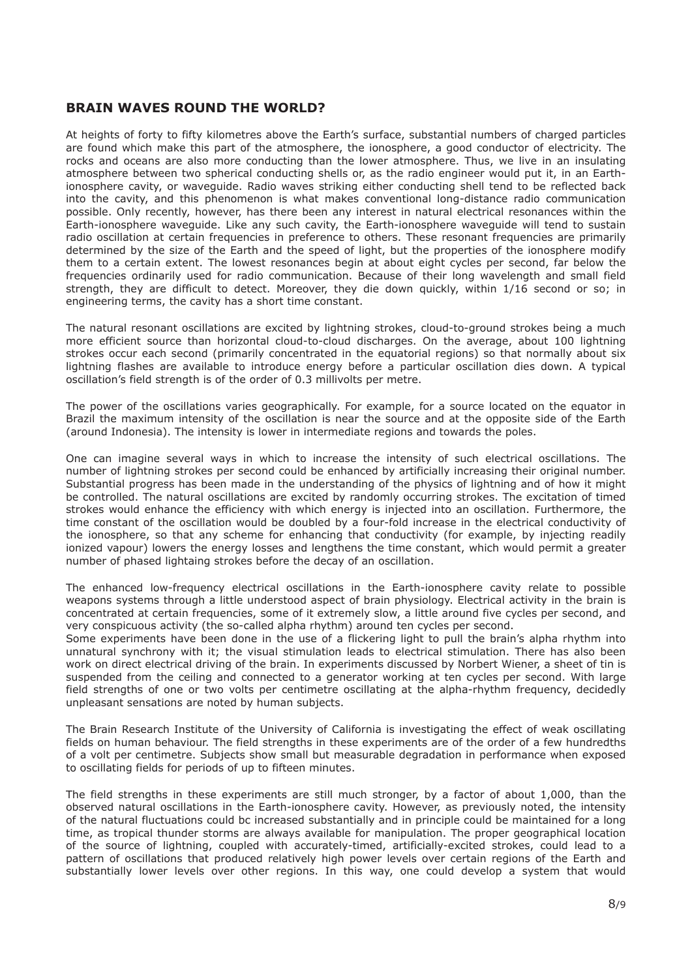#### **BRAIN WAVES ROUND THE WORLD?**

At heights of forty to fifty kilometres above the Earth's surface, substantial numbers of charged particles are found which make this part of the atmosphere, the ionosphere, a good conductor of electricity. The rocks and oceans are also more conducting than the lower atmosphere. Thus, we live in an insulating atmosphere between two spherical conducting shells or, as the radio engineer would put it, in an Earthionosphere cavity, or waveguide. Radio waves striking either conducting shell tend to be reflected back into the cavity, and this phenomenon is what makes conventional long-distance radio communication possible. Only recently, however, has there been any interest in natural electrical resonances within the Earth-ionosphere waveguide. Like any such cavity, the Earth-ionosphere waveguide will tend to sustain radio oscillation at certain frequencies in preference to others. These resonant frequencies are primarily determined by the size of the Earth and the speed of light, but the properties of the ionosphere modify them to a certain extent. The lowest resonances begin at about eight cycles per second, far below the frequencies ordinarily used for radio communication. Because of their long wavelength and small field strength, they are difficult to detect. Moreover, they die down quickly, within 1/16 second or so; in engineering terms, the cavity has a short time constant.

The natural resonant oscillations are excited by lightning strokes, cloud-to-ground strokes being a much more efficient source than horizontal cloud-to-cloud discharges. On the average, about 100 lightning strokes occur each second (primarily concentrated in the equatorial regions) so that normally about six lightning flashes are available to introduce energy before a particular oscillation dies down. A typical oscillation's field strength is of the order of 0.3 millivolts per metre.

The power of the oscillations varies geographically. For example, for a source located on the equator in Brazil the maximum intensity of the oscillation is near the source and at the opposite side of the Earth (around Indonesia). The intensity is lower in intermediate regions and towards the poles.

One can imagine several ways in which to increase the intensity of such electrical oscillations. The number of lightning strokes per second could be enhanced by artificially increasing their original number. Substantial progress has been made in the understanding of the physics of lightning and of how it might be controlled. The natural oscillations are excited by randomly occurring strokes. The excitation of timed strokes would enhance the efficiency with which energy is injected into an oscillation. Furthermore, the time constant of the oscillation would be doubled by a four-fold increase in the electrical conductivity of the ionosphere, so that any scheme for enhancing that conductivity (for example, by injecting readily ionized vapour) lowers the energy losses and lengthens the time constant, which would permit a greater number of phased lightaing strokes before the decay of an oscillation.

The enhanced low-frequency electrical oscillations in the Earth-ionosphere cavity relate to possible weapons systems through a little understood aspect of brain physiology. Electrical activity in the brain is concentrated at certain frequencies, some of it extremely slow, a little around five cycles per second, and very conspicuous activity (the so-called alpha rhythm) around ten cycles per second.

Some experiments have been done in the use of a flickering light to pull the brain's alpha rhythm into unnatural synchrony with it; the visual stimulation leads to electrical stimulation. There has also been work on direct electrical driving of the brain. In experiments discussed by Norbert Wiener, a sheet of tin is suspended from the ceiling and connected to a generator working at ten cycles per second. With large field strengths of one or two volts per centimetre oscillating at the alpha-rhythm frequency, decidedly unpleasant sensations are noted by human subjects.

The Brain Research Institute of the University of California is investigating the effect of weak oscillating fields on human behaviour. The field strengths in these experiments are of the order of a few hundredths of a volt per centimetre. Subjects show small but measurable degradation in performance when exposed to oscillating fields for periods of up to fifteen minutes.

The field strengths in these experiments are still much stronger, by a factor of about 1,000, than the observed natural oscillations in the Earth-ionosphere cavity. However, as previously noted, the intensity of the natural fluctuations could bc increased substantially and in principle could be maintained for a long time, as tropical thunder storms are always available for manipulation. The proper geographical location of the source of lightning, coupled with accurately-timed, artificially-excited strokes, could lead to a pattern of oscillations that produced relatively high power levels over certain regions of the Earth and substantially lower levels over other regions. In this way, one could develop a system that would